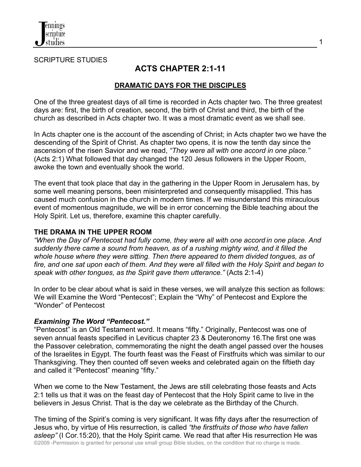

SCRIPTURE STUDIES

# **ACTS CHAPTER 2:1-11**

### **DRAMATIC DAYS FOR THE DISCIPLES**

One of the three greatest days of all time is recorded in Acts chapter two. The three greatest days are: first, the birth of creation, second, the birth of Christ and third, the birth of the church as described in Acts chapter two. It was a most dramatic event as we shall see.

In Acts chapter one is the account of the ascending of Christ; in Acts chapter two we have the descending of the Spirit of Christ. As chapter two opens, it is now the tenth day since the ascension of the risen Savior and we read, *"They were all with one accord in one place."* (Acts 2:1) What followed that day changed the 120 Jesus followers in the Upper Room, awoke the town and eventually shook the world.

The event that took place that day in the gathering in the Upper Room in Jerusalem has, by some well meaning persons, been misinterpreted and consequently misapplied. This has caused much confusion in the church in modern times. If we misunderstand this miraculous event of momentous magnitude, we will be in error concerning the Bible teaching about the Holy Spirit. Let us, therefore, examine this chapter carefully.

#### **THE DRAMA IN THE UPPER ROOM**

*"When the Day of Pentecost had fully come, they were all with one accord in one place. And suddenly there came a sound from heaven, as of a rushing mighty wind, and it filled the whole house where they were sitting. Then there appeared to them divided tongues, as of fire, and one sat upon each of them. And they were all filled with the Holy Spirit and began to speak with other tongues, as the Spirit gave them utterance."* (Acts 2:1-4)

In order to be clear about what is said in these verses, we will analyze this section as follows: We will Examine the Word "Pentecost"; Explain the "Why" of Pentecost and Explore the "Wonder" of Pentecost

#### *Examining The Word "Pentecost."*

"Pentecost" is an Old Testament word. It means "fifty." Originally, Pentecost was one of seven annual feasts specified in Leviticus chapter 23 & Deuteronomy 16.The first one was the Passover celebration, commemorating the night the death angel passed over the houses of the Israelites in Egypt. The fourth feast was the Feast of Firstfruits which was similar to our Thanksgiving. They then counted off seven weeks and celebrated again on the fiftieth day and called it "Pentecost" meaning "fifty."

When we come to the New Testament, the Jews are still celebrating those feasts and Acts 2:1 tells us that it was on the feast day of Pentecost that the Holy Spirit came to live in the believers in Jesus Christ. That is the day we celebrate as the Birthday of the Church.

©2009 -Permission is granted for personal use small group Bible studies, on the condition that no charge is made. The timing of the Spirit's coming is very significant. It was fifty days after the resurrection of Jesus who, by virtue of His resurrection, is called *"the firstfruits of those who have fallen asleep"* (I Cor.15:20), that the Holy Spirit came. We read that after His resurrection He was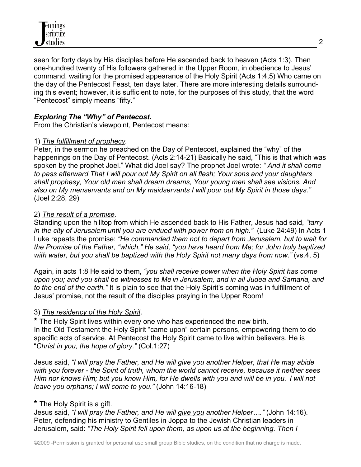

seen for forty days by His disciples before He ascended back to heaven (Acts 1:3). Then one-hundred twenty of His followers gathered in the Upper Room, in obedience to Jesus' command, waiting for the promised appearance of the Holy Spirit (Acts 1:4,5) Who came on the day of the Pentecost Feast, ten days later. There are more interesting details surrounding this event; however, it is sufficient to note, for the purposes of this study, that the word "Pentecost" simply means "fifty."

### *Exploring The "Why" of Pentecost.*

From the Christian's viewpoint, Pentecost means:

#### 1) *The fulfillment of prophecy.*

Peter, in the sermon he preached on the Day of Pentecost, explained the "why" of the happenings on the Day of Pentecost. (Acts 2:14-21) Basically he said, "This is that which was spoken by the prophet Joel." What did Joel say? The prophet Joel wrote: *" And it shall come to pass afterward That I will pour out My Spirit on all flesh; Your sons and your daughters shall prophesy, Your old men shall dream dreams, Your young men shall see visions. And also on My menservants and on My maidservants I will pour out My Spirit in those days."*  (Joel 2:28, 29)

#### 2) *The result of a promise.*

Standing upon the hilltop from which He ascended back to His Father, Jesus had said, *"tarry in the city of Jerusalem until you are endued with power from on high."* (Luke 24:49) In Acts 1 Luke repeats the promise: *"He commanded them not to depart from Jerusalem, but to wait for the Promise of the Father, "which," He said, "you have heard from Me; for John truly baptized with water, but you shall be baptized with the Holy Spirit not many days from now."* (vs.4, 5)

Again, in acts 1:8 He said to them, *"you shall receive power when the Holy Spirit has come upon you; and you shall be witnesses to Me in Jerusalem, and in all Judea and Samaria, and to the end of the earth."* It is plain to see that the Holy Spirit's coming was in fulfillment of Jesus' promise, not the result of the disciples praying in the Upper Room!

#### 3) *The residency of the Holy Spirit.*

**\*** The Holy Spirit lives within every one who has experienced the new birth. In the Old Testament the Holy Spirit "came upon" certain persons, empowering them to do specific acts of service. At Pentecost the Holy Spirit came to live within believers. He is "*Christ in you, the hope of glory."* (Col.1:27)

Jesus said, *"I will pray the Father, and He will give you another Helper, that He may abide with you forever - the Spirit of truth, whom the world cannot receive, because it neither sees Him nor knows Him; but you know Him, for He dwells with you and will be in you. I will not leave you orphans; I will come to you."* (John 14:16-18)

#### **\*** The Holy Spirit is a gift.

Jesus said, *"I will pray the Father, and He will give you another Helper…."* (John 14:16). Peter, defending his ministry to Gentiles in Joppa to the Jewish Christian leaders in Jerusalem, said: *"The Holy Spirit fell upon them, as upon us at the beginning. Then I*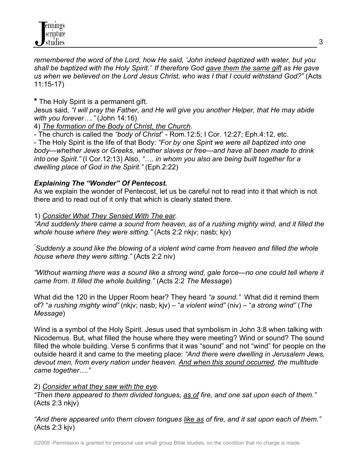*remembered the word of the Lord, how He said, 'John indeed baptized with water, but you shall be baptized with the Holy Spirit.' If therefore God gave them the same gift as He gave us when we believed on the Lord Jesus Christ, who was I that I could withstand God?"* (Acts 11:15-17)

**\*** The Holy Spirit is a permanent gift.

Jesus said, *"I will pray the Father, and He will give you another Helper, that He may abide with you forever…."* (John 14:16)

4) *The formation of the Body of Christ, the Church.* 

- The church is called the *"body of Christ*" - Rom.12:5; I Cor. 12:27; Eph.4:12, etc.

- The Holy Spirit is the life of that Body: *"For by one Spirit we were all baptized into one body—whether Jews or Greeks, whether slaves or free—and have all been made to drink into one Spirit."* (I Cor.12:13) Also, *"…. in whom you also are being built together for a dwelling place of God in the Spirit."* (Eph.2:22)

# *Explaining The "Wonder" Of Pentecost.*

As we explain the wonder of Pentecost, let us be careful not to read into it that which is not there and to read out of it only that which is clearly stated there.

1) *Consider What They Sensed With The ear.*

*"And suddenly there came a sound from heaven, as of a rushing mighty wind, and it filled the whole house where they were sitting."* (Acts 2:2 nkjv; nasb; kjv)

*" Suddenly a sound like the blowing of a violent wind came from heaven and filled the whole house where they were sitting."* (Acts 2:2 niv)

*"Without warning there was a sound like a strong wind, gale force—no one could tell where it came from. It filled the whole building."* (Acts 2:2 *The Message*)

What did the 120 in the Upper Room hear? They heard *"a sound."* What did it remind them of? "*a rushing mighty wind"* (nkjv; nasb; kjv) – "*a violent wind"* (niv) – "*a strong wind"* (*The Message*)

Wind is a symbol of the Holy Spirit. Jesus used that symbolism in John 3:8 when talking with Nicodemus. But, what filled the house where they were meeting? Wind or sound? The sound filled the whole building. Verse 5 confirms that it was "sound" and not "wind" for people on the outside heard it and came to the meeting place: *"And there were dwelling in Jerusalem Jews, devout men, from every nation under heaven. And when this sound occurred, the multitude came together…."*

# 2) *Consider what they saw with the eye.*

*"Then there appeared to them divided tongues, as of fire, and one sat upon each of them."*  (Acts 2:3 nkjv)

*"And there appeared unto them cloven tongues like as of fire, and it sat upon each of them."* (Acts 2:3 kjv)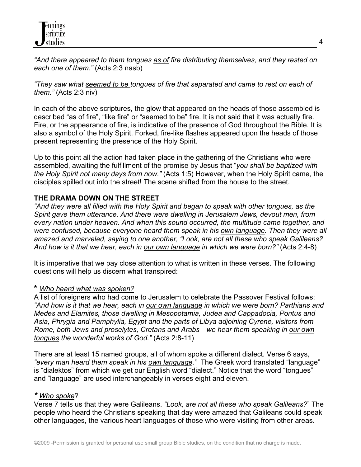*"And there appeared to them tongues as of fire distributing themselves, and they rested on each one of them."* (Acts 2:3 nasb)

*"They saw what seemed to be tongues of fire that separated and came to rest on each of them."* (Acts 2:3 niv)

In each of the above scriptures, the glow that appeared on the heads of those assembled is described "as of fire", "like fire" or "seemed to be" fire. It is not said that it was actually fire. Fire, or the appearance of fire, is indicative of the presence of God throughout the Bible. It is also a symbol of the Holy Spirit. Forked, fire-like flashes appeared upon the heads of those present representing the presence of the Holy Spirit.

Up to this point all the action had taken place in the gathering of the Christians who were assembled, awaiting the fulfillment of the promise by Jesus that "*you shall be baptized with the Holy Spirit not many days from now."* (Acts 1:5) However, when the Holy Spirit came, the disciples spilled out into the street! The scene shifted from the house to the street.

### **THE DRAMA DOWN ON THE STREET**

*"And they were all filled with the Holy Spirit and began to speak with other tongues, as the Spirit gave them utterance. And there were dwelling in Jerusalem Jews, devout men, from every nation under heaven. And when this sound occurred, the multitude came together, and were confused, because everyone heard them speak in his own language. Then they were all amazed and marveled, saying to one another, "Look, are not all these who speak Galileans?*  And how is it that we hear, each in our own language in which we were born?" (Acts 2:4-8)

It is imperative that we pay close attention to what is written in these verses. The following questions will help us discern what transpired:

### **\*** *Who heard what was spoken?*

A list of foreigners who had come to Jerusalem to celebrate the Passover Festival follows: *"And how is it that we hear, each in our own language in which we were born? Parthians and Medes and Elamites, those dwelling in Mesopotamia, Judea and Cappadocia, Pontus and Asia, Phrygia and Pamphylia, Egypt and the parts of Libya adjoining Cyrene, visitors from Rome, both Jews and proselytes, Cretans and Arabs—we hear them speaking in our own tongues the wonderful works of God."* (Acts 2:8-11)

There are at least 15 named groups, all of whom spoke a different dialect. Verse 6 says, *"every man heard them speak in his own language."* The Greek word translated "language" is "dialektos" from which we get our English word "dialect." Notice that the word "tongues" and "language" are used interchangeably in verses eight and eleven.

#### *\* Who spoke*?

Verse 7 tells us that they were Galileans. *"Look, are not all these who speak Galileans?*" The people who heard the Christians speaking that day were amazed that Galileans could speak other languages, the various heart languages of those who were visiting from other areas.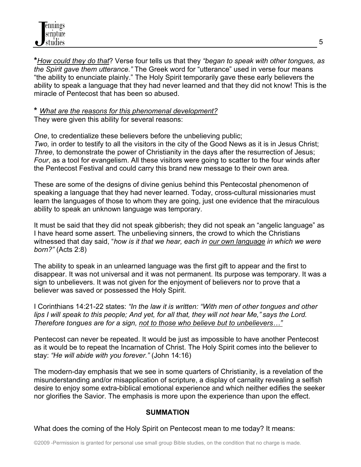**\****How could they do that*? Verse four tells us that they *"began to speak with other tongues, as the Spirit gave them utterance."* The Greek word for "utterance" used in verse four means "the ability to enunciate plainly." The Holy Spirit temporarily gave these early believers the ability to speak a language that they had never learned and that they did not know! This is the miracle of Pentecost that has been so abused.

#### **\*** *What are the reasons for this phenomenal development?* They were given this ability for several reasons:

*One*, to credentialize these believers before the unbelieving public; *Two,* in order to testify to all the visitors in the city of the Good News as it is in Jesus Christ; *Three*, to demonstrate the power of Christianity in the days after the resurrection of Jesus; *Four*, as a tool for evangelism. All these visitors were going to scatter to the four winds after the Pentecost Festival and could carry this brand new message to their own area.

These are some of the designs of divine genius behind this Pentecostal phenomenon of speaking a language that they had never learned. Today, cross-cultural missionaries must learn the languages of those to whom they are going, just one evidence that the miraculous ability to speak an unknown language was temporary.

It must be said that they did not speak gibberish; they did not speak an "angelic language" as I have heard some assert. The unbelieving sinners, the crowd to which the Christians witnessed that day said, "*how is it that we hear, each in our own language in which we were born?"* (Acts 2:8)

The ability to speak in an unlearned language was the first gift to appear and the first to disappear. It was not universal and it was not permanent. Its purpose was temporary. It was a sign to unbelievers. It was not given for the enjoyment of believers nor to prove that a believer was saved or possessed the Holy Spirit.

I Corinthians 14:21-22 states: *"In the law it is written: "With men of other tongues and other lips I will speak to this people; And yet, for all that, they will not hear Me," says the Lord. Therefore tongues are for a sign, not to those who believe but to unbelievers…"*

Pentecost can never be repeated. It would be just as impossible to have another Pentecost as it would be to repeat the Incarnation of Christ. The Holy Spirit comes into the believer to stay: *"He will abide with you forever."* (John 14:16)

The modern-day emphasis that we see in some quarters of Christianity, is a revelation of the misunderstanding and/or misapplication of scripture, a display of carnality revealing a selfish desire to enjoy some extra-biblical emotional experience and which neither edifies the seeker nor glorifies the Savior. The emphasis is more upon the experience than upon the effect.

# **SUMMATION**

What does the coming of the Holy Spirit on Pentecost mean to me today? It means: